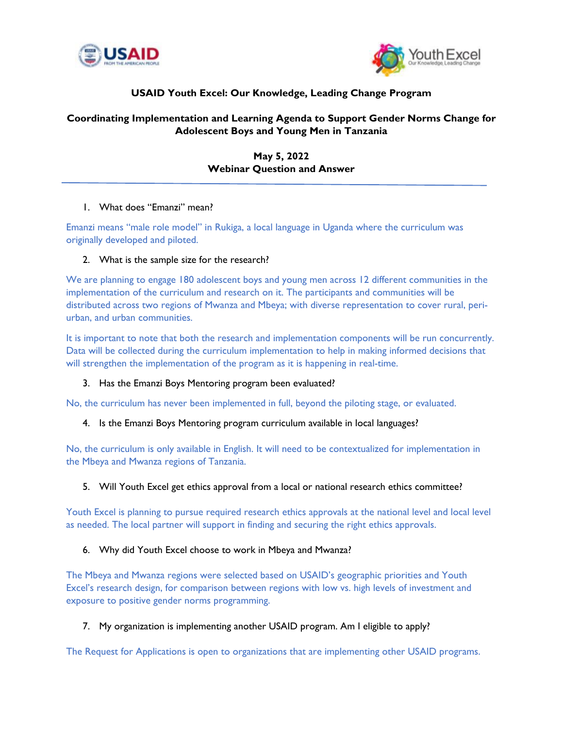



# **USAID Youth Excel: Our Knowledge, Leading Change Program**

## **Coordinating Implementation and Learning Agenda to Support Gender Norms Change for Adolescent Boys and Young Men in Tanzania**

**May 5, 2022 Webinar Question and Answer**

#### 1. What does "Emanzi" mean?

Emanzi means "male role model" in Rukiga, a local language in Uganda where the curriculum was originally developed and piloted.

### 2. What is the sample size for the research?

We are planning to engage 180 adolescent boys and young men across 12 different communities in the implementation of the curriculum and research on it. The participants and communities will be distributed across two regions of Mwanza and Mbeya; with diverse representation to cover rural, periurban, and urban communities.

It is important to note that both the research and implementation components will be run concurrently. Data will be collected during the curriculum implementation to help in making informed decisions that will strengthen the implementation of the program as it is happening in real-time.

#### 3. Has the Emanzi Boys Mentoring program been evaluated?

No, the curriculum has never been implemented in full, beyond the piloting stage, or evaluated.

#### 4. Is the Emanzi Boys Mentoring program curriculum available in local languages?

No, the curriculum is only available in English. It will need to be contextualized for implementation in the Mbeya and Mwanza regions of Tanzania.

#### 5. Will Youth Excel get ethics approval from a local or national research ethics committee?

Youth Excel is planning to pursue required research ethics approvals at the national level and local level as needed. The local partner will support in finding and securing the right ethics approvals.

#### 6. Why did Youth Excel choose to work in Mbeya and Mwanza?

The Mbeya and Mwanza regions were selected based on USAID's geographic priorities and Youth Excel's research design, for comparison between regions with low vs. high levels of investment and exposure to positive gender norms programming.

#### 7. My organization is implementing another USAID program. Am I eligible to apply?

The Request for Applications is open to organizations that are implementing other USAID programs.